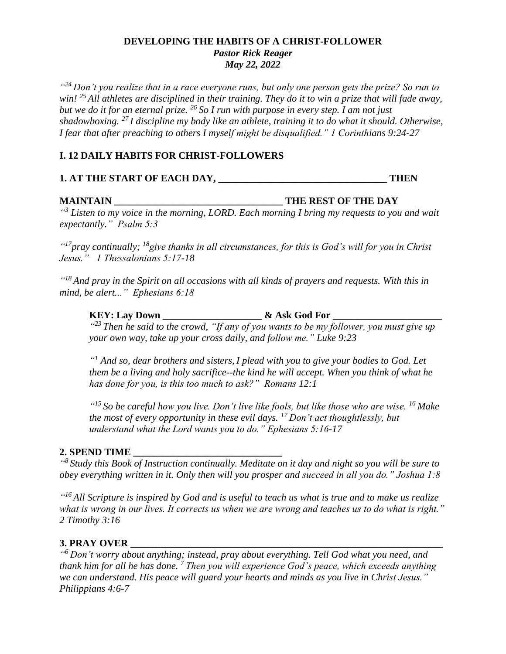#### **DEVELOPING THE HABITS OF A CHRIST-FOLLOWER** *Pastor Rick Reager May 22, 2022*

*" <sup>24</sup> Don't you realize that in a race everyone runs, but only one person gets the prize? So run to win! <sup>25</sup> All athletes are disciplined in their training. They do it to win a prize that will fade away, but we do it for an eternal prize. <sup>26</sup> So I run with purpose in every step. I am not just shadowboxing. <sup>27</sup> I discipline my body like an athlete, training it to do what it should. Otherwise, I fear that after preaching to others I myself might be disqualified." 1 Corinthians 9:24-27*

## **I. 12 DAILY HABITS FOR CHRIST-FOLLOWERS**

#### **1. AT THE START OF EACH DAY, \_\_\_\_\_\_\_\_\_\_\_\_\_\_\_\_\_\_\_\_\_\_\_\_\_\_\_\_\_\_\_\_\_\_ THEN**

#### **MAINTAIN \_\_\_\_\_\_\_\_\_\_\_\_\_\_\_\_\_\_\_\_\_\_\_\_\_\_\_\_\_\_\_\_\_\_ THE REST OF THE DAY**

*" <sup>3</sup> Listen to my voice in the morning, LORD. Each morning I bring my requests to you and wait expectantly." Psalm 5:3*

*" <sup>17</sup>pray continually; <sup>18</sup>give thanks in all circumstances, for this is God's will for you in Christ Jesus." 1 Thessalonians 5:17-18*

*" <sup>18</sup>And pray in the Spirit on all occasions with all kinds of prayers and requests. With this in mind, be alert..." Ephesians 6:18*

# **KEY: Lay Down \_\_\_\_\_\_\_\_\_\_\_\_\_\_\_\_\_\_\_\_ & Ask God For \_\_\_\_\_\_\_\_\_\_\_\_\_\_\_\_\_\_\_\_\_\_**

<sup>423</sup> Then he said to the crowd, "If any of you wants to be my follower, you must give up *your own way, take up your cross daily, and follow me." Luke 9:23*

*" <sup>1</sup> And so, dear brothers and sisters, I plead with you to give your bodies to God. Let them be a living and holy sacrifice--the kind he will accept. When you think of what he has done for you, is this too much to ask?" Romans 12:1*

*" <sup>15</sup> So be careful how you live. Don't live like fools, but like those who are wise. <sup>16</sup> Make the most of every opportunity in these evil days. <sup>17</sup> Don't act thoughtlessly, but understand what the Lord wants you to do." Ephesians 5:16-17*

#### **2. SPEND TIME \_\_\_\_\_\_\_\_\_\_\_\_\_\_\_\_\_\_\_\_\_\_\_\_\_\_\_\_\_\_**

*" 8 Study this Book of Instruction continually. Meditate on it day and night so you will be sure to obey everything written in it. Only then will you prosper and succeed in all you do." Joshua 1:8*

*" <sup>16</sup> All Scripture is inspired by God and is useful to teach us what is true and to make us realize what is wrong in our lives. It corrects us when we are wrong and teaches us to do what is right." 2 Timothy 3:16*

## **3. PRAY OVER \_\_\_\_\_\_\_\_\_\_\_\_\_\_\_\_\_\_\_\_\_\_\_\_\_\_\_\_\_\_\_\_\_\_\_\_\_\_\_\_\_\_\_\_\_\_\_\_\_\_\_\_\_\_\_\_\_\_\_\_\_\_\_**

*" <sup>6</sup> Don't worry about anything; instead, pray about everything. Tell God what you need, and thank him for all he has done. <sup>7</sup> Then you will experience God's peace, which exceeds anything we can understand. His peace will guard your hearts and minds as you live in Christ Jesus." Philippians 4:6-7*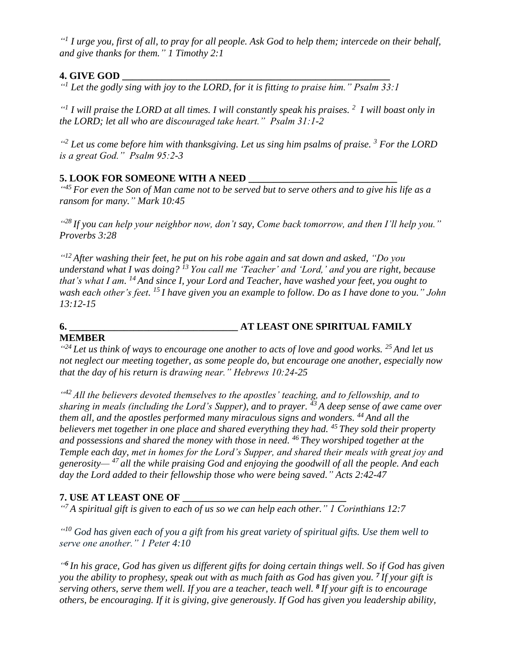*" 1 I urge you, first of all, to pray for all people. Ask God to help them; intercede on their behalf, and give thanks for them." 1 Timothy 2:1*

# **4. GIVE GOD \_\_\_\_\_\_\_\_\_\_\_\_\_\_\_\_\_\_\_\_\_\_\_\_\_\_\_\_\_\_\_\_\_\_\_\_\_\_\_\_\_\_\_\_\_\_\_\_\_\_\_\_\_\_**

*" <sup>1</sup> Let the godly sing with joy to the LORD, for it is fitting to praise him." Psalm 33:1*

*" 1 I will praise the LORD at all times. I will constantly speak his praises. <sup>2</sup> I will boast only in the LORD; let all who are discouraged take heart." Psalm 31:1-2*

*" <sup>2</sup> Let us come before him with thanksgiving. Let us sing him psalms of praise. <sup>3</sup> For the LORD is a great God." Psalm 95:2-3*

# **5. LOOK FOR SOMEONE WITH A NEED**

<sup>445</sup> For even the Son of Man came not to be served but to serve others and to give his life as a *ransom for many." Mark 10:45*

*" <sup>28</sup> If you can help your neighbor now, don't say, Come back tomorrow, and then I'll help you." Proverbs 3:28*

*" <sup>12</sup> After washing their feet, he put on his robe again and sat down and asked, "Do you understand what I was doing? <sup>13</sup> You call me 'Teacher' and 'Lord,' and you are right, because that's what I am. <sup>14</sup> And since I, your Lord and Teacher, have washed your feet, you ought to wash each other's feet. <sup>15</sup> I have given you an example to follow. Do as I have done to you." John 13:12-15*

# **6. \_\_\_\_\_\_\_\_\_\_\_\_\_\_\_\_\_\_\_\_\_\_\_\_\_\_\_\_\_\_\_\_\_\_ AT LEAST ONE SPIRITUAL FAMILY**

# **MEMBER**

*" <sup>24</sup> Let us think of ways to encourage one another to acts of love and good works. <sup>25</sup> And let us not neglect our meeting together, as some people do, but encourage one another, especially now that the day of his return is drawing near." Hebrews 10:24-25*

<sup>442</sup> All the believers devoted themselves to the apostles' teaching, and to fellowship, and to *sharing in meals (including the Lord's Supper), and to prayer. <sup>43</sup> A deep sense of awe came over them all, and the apostles performed many miraculous signs and wonders. <sup>44</sup> And all the believers met together in one place and shared everything they had. <sup>45</sup> They sold their property and possessions and shared the money with those in need. <sup>46</sup> They worshiped together at the Temple each day, met in homes for the Lord's Supper, and shared their meals with great joy and generosity— <sup>47</sup> all the while praising God and enjoying the goodwill of all the people. And each day the Lord added to their fellowship those who were being saved." Acts 2:42-47*

# **7. USE AT LEAST ONE OF \_\_\_\_\_\_\_\_\_\_\_\_\_\_\_\_\_\_\_\_\_\_\_\_\_\_\_\_\_\_\_\_\_**

*" <sup>7</sup> A spiritual gift is given to each of us so we can help each other." 1 Corinthians 12:7*

*" <sup>10</sup> God has given each of you a gift from his great variety of spiritual gifts. Use them well to serve one another." 1 Peter 4:10*

*" 6 In his grace, God has given us different gifts for doing certain things well. So if God has given you the ability to prophesy, speak out with as much faith as God has given you. <sup>7</sup> If your gift is serving others, serve them well. If you are a teacher, teach well. <sup>8</sup> If your gift is to encourage others, be encouraging. If it is giving, give generously. If God has given you leadership ability,*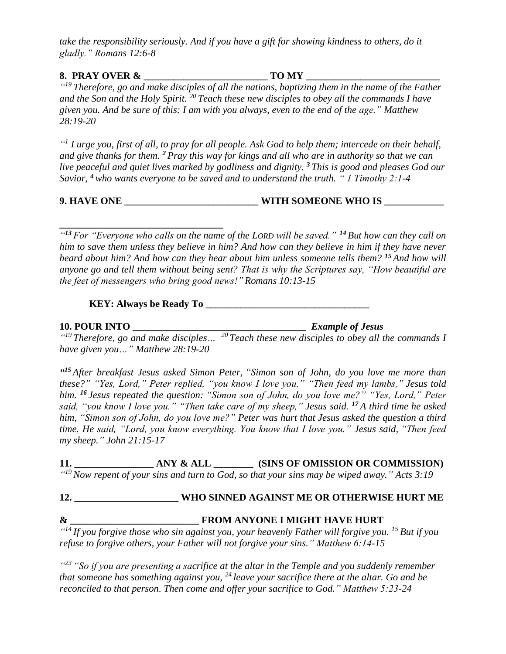*take the responsibility seriously. And if you have a gift for showing kindness to others, do it gladly." Romans 12:6-8*

#### **8. PRAY OVER & \_\_\_\_\_\_\_\_\_\_\_\_\_\_\_\_\_\_\_\_\_\_\_\_\_ TO MY \_\_\_\_\_\_\_\_\_\_\_\_\_\_\_\_\_\_\_\_\_\_\_\_\_\_\_** *" <sup>19</sup> Therefore, go and make disciples of all the nations, baptizing them in the name of the Father and the Son and the Holy Spirit. <sup>20</sup> Teach these new disciples to obey all the commands I have given you. And be sure of this: I am with you always, even to the end of the age." Matthew 28:19-20*

*" 1 I urge you, first of all, to pray for all people. Ask God to help them; intercede on their behalf, and give thanks for them. <sup>2</sup> Pray this way for kings and all who are in authority so that we can live peaceful and quiet lives marked by godliness and dignity. <sup>3</sup> This is good and pleases God our Savior, <sup>4</sup> who wants everyone to be saved and to understand the truth. " 1 Timothy 2:1-4*

# **9. HAVE ONE \_\_\_\_\_\_\_\_\_\_\_\_\_\_\_\_\_\_\_\_\_\_\_\_\_\_\_ WITH SOMEONE WHO IS \_\_\_\_\_\_\_\_\_\_\_\_**

**\_\_\_\_\_\_\_\_\_\_\_\_\_\_\_\_\_\_\_\_\_\_\_\_\_\_\_\_\_\_\_\_\_** *" <sup>13</sup> For "Everyone who calls on the name of the LORD will be saved." <sup>14</sup> But how can they call on him to save them unless they believe in him? And how can they believe in him if they have never heard about him? And how can they hear about him unless someone tells them? <sup>15</sup> And how will anyone go and tell them without being sent? That is why the Scriptures say, "How beautiful are the feet of messengers who bring good news!" Romans 10:13-15*

**KEY: Always be Ready To \_\_\_\_\_\_\_\_\_\_\_\_\_\_\_\_\_\_\_\_\_\_\_\_\_\_\_\_\_\_\_\_\_**

**10. POUR INTO \_\_\_\_\_\_\_\_\_\_\_\_\_\_\_\_\_\_\_\_\_\_\_\_\_\_\_\_\_\_\_\_\_\_\_** *Example of Jesus*

*" <sup>19</sup> Therefore, go and make disciples… <sup>20</sup> Teach these new disciples to obey all the commands I have given you…" Matthew 28:19-20*

*" <sup>15</sup> After breakfast Jesus asked Simon Peter, "Simon son of John, do you love me more than these?" "Yes, Lord," Peter replied, "you know I love you." "Then feed my lambs," Jesus told him. <sup>16</sup> Jesus repeated the question: "Simon son of John, do you love me?" "Yes, Lord," Peter said, "you know I love you." "Then take care of my sheep," Jesus said. <sup>17</sup> A third time he asked him, "Simon son of John, do you love me?" Peter was hurt that Jesus asked the question a third time. He said, "Lord, you know everything. You know that I love you." Jesus said, "Then feed my sheep." John 21:15-17*

**11. \_\_\_\_\_\_\_\_\_\_\_\_\_\_\_\_ ANY & ALL \_\_\_\_\_\_\_\_ (SINS OF OMISSION OR COMMISSION)** *" <sup>19</sup> Now repent of your sins and turn to God, so that your sins may be wiped away." Acts 3:19*

# **12. \_\_\_\_\_\_\_\_\_\_\_\_\_\_\_\_\_\_\_\_\_ WHO SINNED AGAINST ME OR OTHERWISE HURT ME**

**& \_\_\_\_\_\_\_\_\_\_\_\_\_\_\_\_\_\_\_\_\_\_\_\_\_\_ FROM ANYONE I MIGHT HAVE HURT** *" <sup>14</sup> If you forgive those who sin against you, your heavenly Father will forgive you. <sup>15</sup> But if you refuse to forgive others, your Father will not forgive your sins." Matthew 6:14-15*

*" <sup>23</sup> "So if you are presenting a sacrifice at the altar in the Temple and you suddenly remember that someone has something against you, <sup>24</sup> leave your sacrifice there at the altar. Go and be reconciled to that person. Then come and offer your sacrifice to God." Matthew 5:23-24*